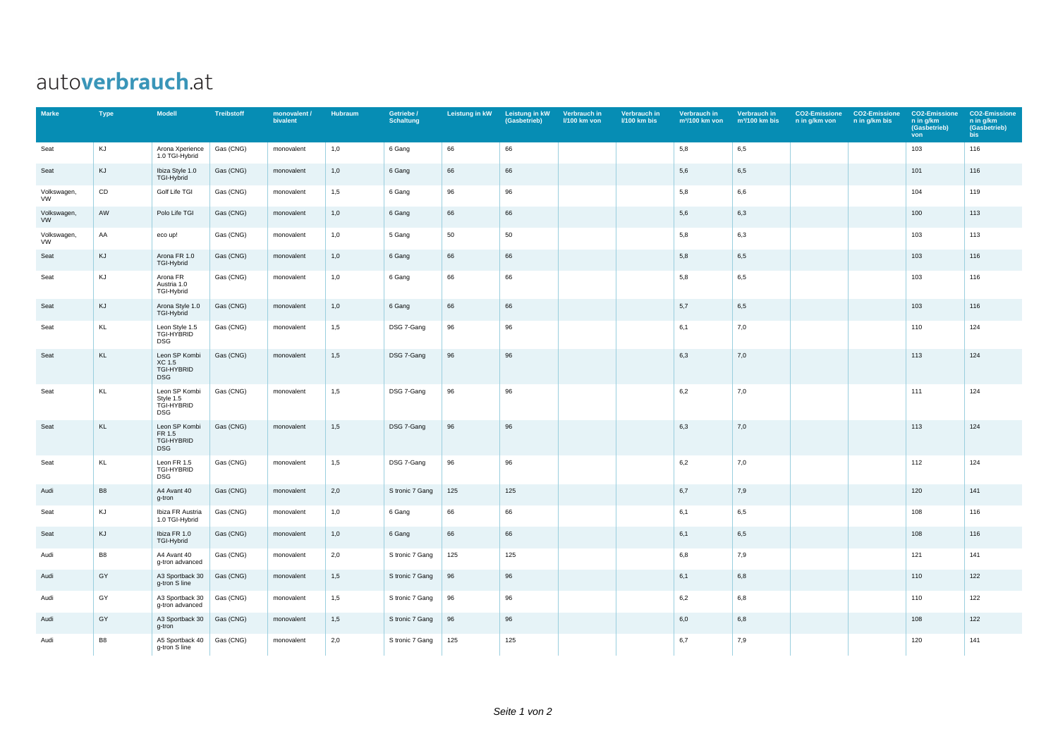## autoverbrauch.at

| <b>Marke</b>      | <b>Type</b>    | <b>Modell</b>                                          | <b>Treibstoff</b> | monovalent /<br>bivalent | Hubraum | Getriebe /<br><b>Schaltung</b> | Leistung in kW | Leistung in kW<br>(Gasbetrieb) | Verbrauch in<br><b>I/100 km von</b> | Verbrauch in<br><b>I/100 km bis</b> | Verbrauch in<br>m <sup>3</sup> /100 km von | Verbrauch in<br>$m3/100$ km bis | n in g/km von | <b>CO2-Emissione CO2-Emissione</b><br>n in g/km bis | <b>CO2-Emissione</b><br>n in g/km<br>(Gasbetrieb)<br>von | <b>CO2-Emissione</b><br>n in g/km<br>(Gasbetrieb)<br>bis |
|-------------------|----------------|--------------------------------------------------------|-------------------|--------------------------|---------|--------------------------------|----------------|--------------------------------|-------------------------------------|-------------------------------------|--------------------------------------------|---------------------------------|---------------|-----------------------------------------------------|----------------------------------------------------------|----------------------------------------------------------|
| Seat              | KJ             | Arona Xperience<br>1.0 TGI-Hybrid                      | Gas (CNG)         | monovalent               | 1,0     | 6 Gang                         | 66             | 66                             |                                     |                                     | 5,8                                        | 6,5                             |               |                                                     | 103                                                      | 116                                                      |
| Seat              | KJ             | Ibiza Style 1.0<br>TGI-Hybrid                          | Gas (CNG)         | monovalent               | 1,0     | 6 Gang                         | 66             | 66                             |                                     |                                     | 5,6                                        | 6,5                             |               |                                                     | 101                                                      | 116                                                      |
| Volkswagen,<br>VW | CD             | Golf Life TGI                                          | Gas (CNG)         | monovalent               | 1,5     | 6 Gang                         | 96             | 96                             |                                     |                                     | 5,8                                        | 6,6                             |               |                                                     | 104                                                      | 119                                                      |
| Volkswagen,<br>VW | AW             | Polo Life TGI                                          | Gas (CNG)         | monovalent               | 1,0     | 6 Gang                         | 66             | 66                             |                                     |                                     | 5,6                                        | 6,3                             |               |                                                     | 100                                                      | 113                                                      |
| Volkswagen,<br>VW | AA             | eco up!                                                | Gas (CNG)         | monovalent               | 1,0     | 5 Gang                         | 50             | 50                             |                                     |                                     | 5,8                                        | 6,3                             |               |                                                     | 103                                                      | 113                                                      |
| Seat              | KJ             | Arona FR 1.0<br>TGI-Hybrid                             | Gas (CNG)         | monovalent               | 1,0     | 6 Gang                         | 66             | 66                             |                                     |                                     | 5,8                                        | 6,5                             |               |                                                     | 103                                                      | 116                                                      |
| Seat              | KJ             | Arona FR<br>Austria 1.0<br>TGI-Hybrid                  | Gas (CNG)         | monovalent               | 1,0     | 6 Gang                         | 66             | 66                             |                                     |                                     | 5,8                                        | 6,5                             |               |                                                     | 103                                                      | 116                                                      |
| Seat              | KJ             | Arona Style 1.0<br>TGI-Hybrid                          | Gas (CNG)         | monovalent               | 1,0     | 6 Gang                         | 66             | 66                             |                                     |                                     | 5,7                                        | 6,5                             |               |                                                     | 103                                                      | 116                                                      |
| Seat              | KL             | Leon Style 1.5<br>TGI-HYBRID<br><b>DSG</b>             | Gas (CNG)         | monovalent               | 1,5     | DSG 7-Gang                     | 96             | 96                             |                                     |                                     | 6,1                                        | 7,0                             |               |                                                     | 110                                                      | 124                                                      |
| Seat              | KL             | Leon SP Kombi<br>XC 1.5<br>TGI-HYBRID<br><b>DSG</b>    | Gas (CNG)         | monovalent               | 1,5     | DSG 7-Gang                     | 96             | 96                             |                                     |                                     | 6,3                                        | 7,0                             |               |                                                     | 113                                                      | 124                                                      |
| Seat              | KL             | Leon SP Kombi<br>Style 1.5<br>TGI-HYBRID<br><b>DSG</b> | Gas (CNG)         | monovalent               | 1,5     | DSG 7-Gang                     | 96             | 96                             |                                     |                                     | 6,2                                        | 7,0                             |               |                                                     | 111                                                      | 124                                                      |
| Seat              | KL             | Leon SP Kombi<br>FR 1.5<br>TGI-HYBRID<br><b>DSG</b>    | Gas (CNG)         | monovalent               | 1,5     | DSG 7-Gang                     | 96             | 96                             |                                     |                                     | 6,3                                        | 7,0                             |               |                                                     | 113                                                      | 124                                                      |
| Seat              | KL             | Leon FR 1.5<br>TGI-HYBRID<br><b>DSG</b>                | Gas (CNG)         | monovalent               | 1,5     | DSG 7-Gang                     | 96             | 96                             |                                     |                                     | 6,2                                        | 7,0                             |               |                                                     | 112                                                      | 124                                                      |
| Audi              | B <sub>8</sub> | A4 Avant 40<br>g-tron                                  | Gas (CNG)         | monovalent               | 2,0     | S tronic 7 Gang                | 125            | 125                            |                                     |                                     | 6,7                                        | 7,9                             |               |                                                     | 120                                                      | 141                                                      |
| Seat              | KJ             | Ibiza FR Austria<br>1.0 TGI-Hybrid                     | Gas (CNG)         | monovalent               | 1,0     | 6 Gang                         | 66             | 66                             |                                     |                                     | 6,1                                        | 6,5                             |               |                                                     | 108                                                      | 116                                                      |
| Seat              | KJ             | Ibiza FR 1.0<br>TGI-Hybrid                             | Gas (CNG)         | monovalent               | 1,0     | 6 Gang                         | 66             | 66                             |                                     |                                     | 6,1                                        | 6,5                             |               |                                                     | 108                                                      | 116                                                      |
| Audi              | B <sub>8</sub> | A4 Avant 40<br>g-tron advanced                         | Gas (CNG)         | monovalent               | 2,0     | S tronic 7 Gang                | 125            | 125                            |                                     |                                     | 6,8                                        | 7,9                             |               |                                                     | 121                                                      | 141                                                      |
| Audi              | GY             | A3 Sportback 30<br>g-tron S line                       | Gas (CNG)         | monovalent               | 1,5     | S tronic 7 Gang                | 96             | 96                             |                                     |                                     | 6,1                                        | 6,8                             |               |                                                     | 110                                                      | 122                                                      |
| Audi              | GY             | A3 Sportback 30<br>g-tron advanced                     | Gas (CNG)         | monovalent               | 1,5     | S tronic 7 Gang                | 96             | 96                             |                                     |                                     | 6,2                                        | 6,8                             |               |                                                     | 110                                                      | 122                                                      |
| Audi              | GY             | A3 Sportback 30<br>g-tron                              | Gas (CNG)         | monovalent               | 1,5     | S tronic 7 Gang                | 96             | 96                             |                                     |                                     | 6,0                                        | 6,8                             |               |                                                     | 108                                                      | 122                                                      |
| Audi              | <b>B8</b>      | A5 Sportback 40<br>g-tron S line                       | Gas (CNG)         | monovalent               | 2,0     | S tronic 7 Gang                | 125            | 125                            |                                     |                                     | 6,7                                        | 7,9                             |               |                                                     | 120                                                      | 141                                                      |